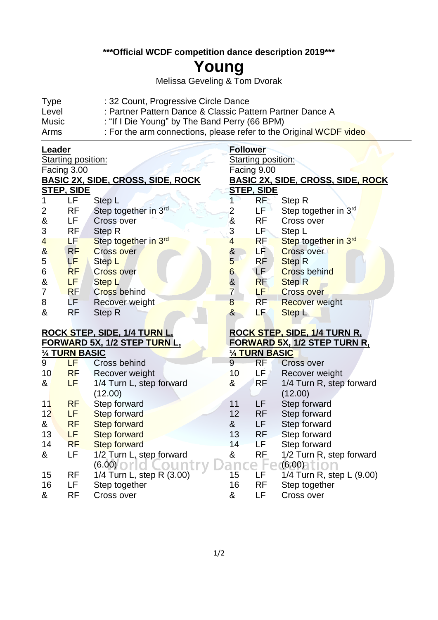**\*\*\*Official WCDF competition dance description 2019\*\*\***

## **Young**

Melissa Geveling & Tom Dvorak

| <b>Type</b> | : 32 Count, Progressive Circle Dance                               |
|-------------|--------------------------------------------------------------------|
| Level       | : Partner Pattern Dance & Classic Pattern Partner Dance A          |
| Music       | : "If I Die Young" by The Band Perry (66 BPM)                      |
| Arms        | : For the arm connections, please refer to the Original WCDF video |

## **Leader**

j

(6.00) 15 RF 1/4 Turn L, step R (3.00)

16 LF Step together & RF Cross over

| Leader                  |                   |                                          | <b>Follower</b>       |                       |                                          |  |
|-------------------------|-------------------|------------------------------------------|-----------------------|-----------------------|------------------------------------------|--|
| Starting position:      |                   |                                          | Starting position:    |                       |                                          |  |
| Facing 3.00             |                   |                                          | Facing 9.00           |                       |                                          |  |
|                         |                   | <b>BASIC 2X, SIDE, CROSS, SIDE, ROCK</b> |                       |                       | <u>BASIC 2X, SIDE, CROSS, SIDE, ROCK</u> |  |
|                         | <u>STEP, SIDE</u> |                                          |                       | <u>STEP, SIDE</u>     |                                          |  |
| 1                       | LF                | Step L                                   | 1                     | RF                    | Step R                                   |  |
| 2                       | <b>RF</b>         | Step together in 3rd                     | 2                     | LF.                   | Step together in 3rd                     |  |
| $\&$                    | LF                | <b>Cross over</b>                        | &                     | <b>RF</b>             | Cross over                               |  |
| 3                       | RF                | Step R                                   | 3                     | LF*                   | Step L                                   |  |
| $\overline{\mathbf{r}}$ | LF                | Step together in 3rd                     | $\overline{4}$        | <b>RF</b>             | Step together in 3rd                     |  |
| $\alpha$                | RF                | <b>Cross over</b>                        | $\boldsymbol{\delta}$ | LF <sup>1</sup>       | <b>Cross over</b>                        |  |
| 5                       | <b>LF</b>         | Step L                                   | 5                     | <b>RF</b>             | <b>Step R</b>                            |  |
| $\,$ 6 $\,$             | <b>RF</b>         | <b>Cross over</b>                        | $6\phantom{a}$        | LF <sup>1</sup>       | <b>Cross behind</b>                      |  |
| $\&$                    | LF.               | Step L                                   | &<br>7                | <b>RF</b>             | <b>Step R</b>                            |  |
| $\overline{7}$          | <b>RF</b>         | <b>Cross behind</b>                      |                       | LF                    | <b>Cross over</b>                        |  |
| 8                       | LF.               | Recover weight                           | 8                     | <b>RF</b>             | <b>Recover weight</b>                    |  |
| &                       | <b>RF</b>         | Step R                                   | $8\phantom{1}$        | LF.                   | <b>Step L</b>                            |  |
|                         |                   |                                          |                       |                       |                                          |  |
|                         |                   | ROCK STEP, SIDE, 1/4 TURN L,             |                       |                       | ROCK STEP, SIDE, 1/4 TURN R.             |  |
|                         |                   | <u>FORWARD 5X, 1/2 STEP TURN L,</u>      |                       |                       | <u>FORWARD 5X, 1/2 STEP TURN R.</u>      |  |
|                         | 1/4 TURN BASIC    |                                          |                       | <b>1/4 TURN BASIC</b> |                                          |  |
| 9                       | LF                | Cross behind                             | $\overline{9}$        | <b>RF</b>             | <b>Cross over</b>                        |  |
| 10                      | <b>RF</b>         | Recover weight                           | 10                    | LF ,                  | Recover weight                           |  |
| &                       | LF                | 1/4 Turn L, step forward                 | &                     | <b>RF</b>             | 1/4 Turn R, step forward                 |  |
|                         |                   | (12.00)                                  |                       |                       | (12.00)                                  |  |
| 11                      | <b>RF</b>         | Step forward                             | 11                    | LF                    | Step forward                             |  |
| 12                      | LF                | <b>Step forward</b>                      | 12                    | <b>RF</b>             | Step forward                             |  |
| &                       | <b>RF</b>         | <b>Step forward</b>                      | &                     | LF.                   | Step forward                             |  |
| 13                      | LF                | <b>Step forward</b>                      | 13                    | <b>RF</b>             | Step forward                             |  |
| 14                      | <b>RF</b>         | <b>Step forward</b>                      | 14                    | LF                    | Step forward                             |  |
| &                       | LF                | 1/2 Turn L, step forward                 | &                     | <b>RF</b>             | 1/2 Turn R, step forward                 |  |

(6.00) 15 LF 1/4 Turn R, step L (9.00)

16 RF Step together & LF Cross over